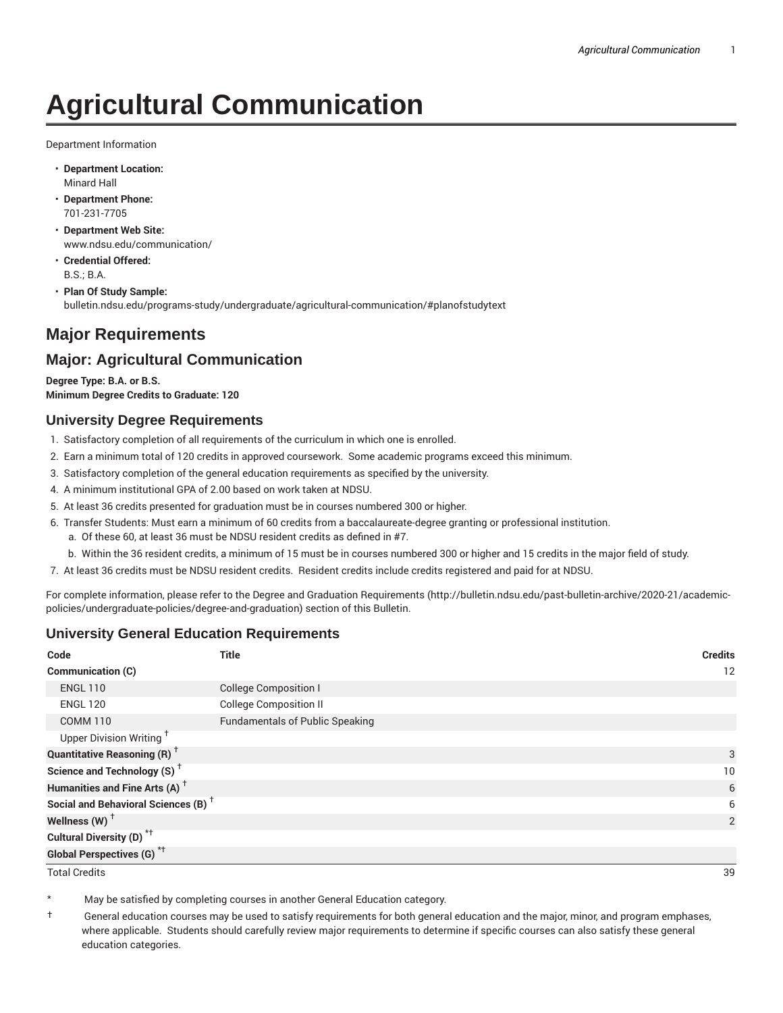# **Agricultural Communication**

Department Information

- **Department Location:** Minard Hall
- **Department Phone:** 701-231-7705
- **Department Web Site:** www.ndsu.edu/communication/
- **Credential Offered:** B.S.; B.A.
- **Plan Of Study Sample:** bulletin.ndsu.edu/programs-study/undergraduate/agricultural-communication/#planofstudytext

# **Major Requirements**

## **Major: Agricultural Communication**

**Degree Type: B.A. or B.S. Minimum Degree Credits to Graduate: 120**

#### **University Degree Requirements**

- 1. Satisfactory completion of all requirements of the curriculum in which one is enrolled.
- 2. Earn a minimum total of 120 credits in approved coursework. Some academic programs exceed this minimum.
- 3. Satisfactory completion of the general education requirements as specified by the university.
- 4. A minimum institutional GPA of 2.00 based on work taken at NDSU.
- 5. At least 36 credits presented for graduation must be in courses numbered 300 or higher.
- 6. Transfer Students: Must earn a minimum of 60 credits from a baccalaureate-degree granting or professional institution.
	- a. Of these 60, at least 36 must be NDSU resident credits as defined in #7.
	- b. Within the 36 resident credits, a minimum of 15 must be in courses numbered 300 or higher and 15 credits in the major field of study.
- 7. At least 36 credits must be NDSU resident credits. Resident credits include credits registered and paid for at NDSU.

For complete information, please refer to the Degree and Graduation Requirements (http://bulletin.ndsu.edu/past-bulletin-archive/2020-21/academicpolicies/undergraduate-policies/degree-and-graduation) section of this Bulletin.

### **University General Education Requirements**

| Code                                            | <b>Title</b>                           | <b>Credits</b> |
|-------------------------------------------------|----------------------------------------|----------------|
| <b>Communication (C)</b>                        |                                        | 12             |
| <b>ENGL 110</b>                                 | <b>College Composition I</b>           |                |
| <b>ENGL 120</b>                                 | <b>College Composition II</b>          |                |
| <b>COMM 110</b>                                 | <b>Fundamentals of Public Speaking</b> |                |
| Upper Division Writing <sup>†</sup>             |                                        |                |
| <b>Quantitative Reasoning (R)</b> <sup>†</sup>  |                                        | 3              |
| Science and Technology (S) <sup>+</sup>         |                                        | 10             |
| Humanities and Fine Arts (A) <sup>+</sup>       |                                        | 6              |
| Social and Behavioral Sciences (B) <sup>+</sup> |                                        | 6              |
| Wellness $(W)$ <sup>+</sup>                     |                                        | 2              |
| Cultural Diversity (D) <sup>*†</sup>            |                                        |                |
| <b>Global Perspectives (G)<sup>*†</sup></b>     |                                        |                |

Total Credits 39

May be satisfied by completing courses in another General Education category.

† General education courses may be used to satisfy requirements for both general education and the major, minor, and program emphases, where applicable. Students should carefully review major requirements to determine if specific courses can also satisfy these general education categories.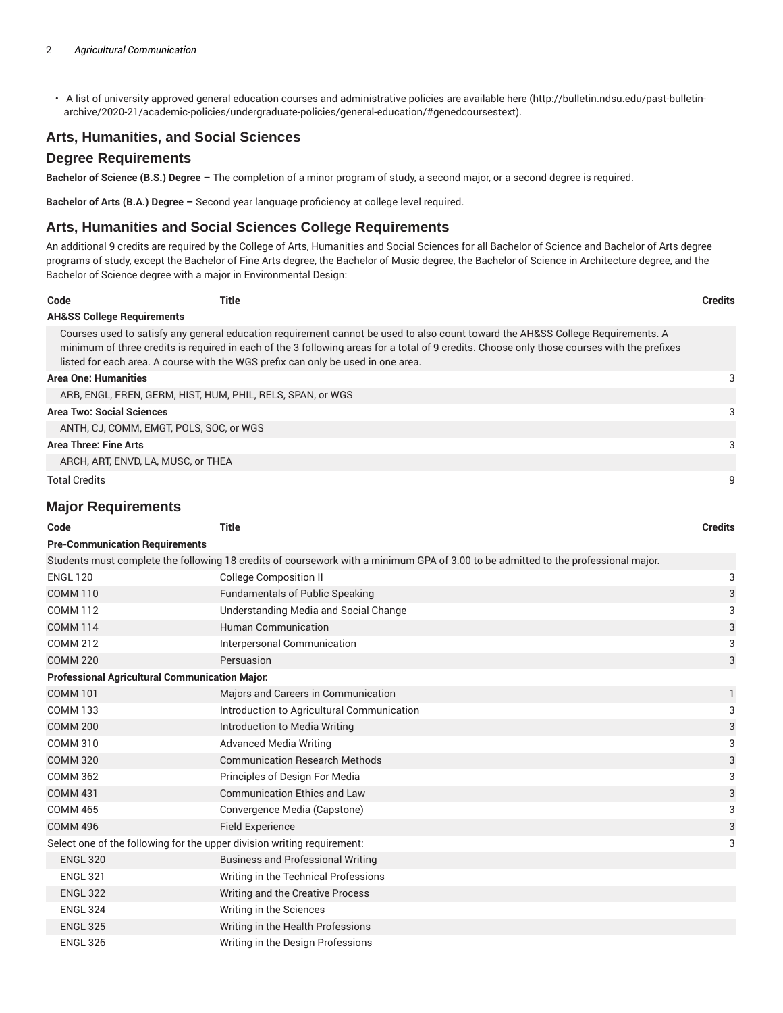• A list of university approved general education courses and administrative policies are available here (http://bulletin.ndsu.edu/past-bulletinarchive/2020-21/academic-policies/undergraduate-policies/general-education/#genedcoursestext).

#### **Arts, Humanities, and Social Sciences**

#### **Degree Requirements**

**Bachelor of Science (B.S.) Degree –** The completion of a minor program of study, a second major, or a second degree is required.

**Bachelor of Arts (B.A.) Degree –** Second year language proficiency at college level required.

#### **Arts, Humanities and Social Sciences College Requirements**

An additional 9 credits are required by the College of Arts, Humanities and Social Sciences for all Bachelor of Science and Bachelor of Arts degree programs of study, except the Bachelor of Fine Arts degree, the Bachelor of Music degree, the Bachelor of Science in Architecture degree, and the Bachelor of Science degree with a major in Environmental Design:

| Code                                  | Title                                                                            |                                                                                                                                                                                                                                                                                | <b>Credits</b> |
|---------------------------------------|----------------------------------------------------------------------------------|--------------------------------------------------------------------------------------------------------------------------------------------------------------------------------------------------------------------------------------------------------------------------------|----------------|
| <b>AH&amp;SS College Requirements</b> |                                                                                  |                                                                                                                                                                                                                                                                                |                |
|                                       | listed for each area. A course with the WGS prefix can only be used in one area. | Courses used to satisfy any general education requirement cannot be used to also count toward the AH&SS College Requirements. A<br>minimum of three credits is required in each of the 3 following areas for a total of 9 credits. Choose only those courses with the prefixes |                |
| <b>Area One: Humanities</b>           |                                                                                  |                                                                                                                                                                                                                                                                                | 3              |
|                                       | ARB, ENGL, FREN, GERM, HIST, HUM, PHIL, RELS, SPAN, or WGS                       |                                                                                                                                                                                                                                                                                |                |
| <b>Area Two: Social Sciences</b>      |                                                                                  |                                                                                                                                                                                                                                                                                | 3              |
|                                       | ANTH, CJ, COMM, EMGT, POLS, SOC, or WGS                                          |                                                                                                                                                                                                                                                                                |                |
| Area Three: Fine Arts                 |                                                                                  |                                                                                                                                                                                                                                                                                | 3              |
|                                       | ARCH, ART, ENVD, LA, MUSC, or THEA                                               |                                                                                                                                                                                                                                                                                |                |
| <b>Total Credits</b>                  |                                                                                  |                                                                                                                                                                                                                                                                                |                |

#### **Major Requirements**

| Code                                                                    | <b>Title</b>                                                                                                                       | <b>Credits</b> |  |  |  |  |
|-------------------------------------------------------------------------|------------------------------------------------------------------------------------------------------------------------------------|----------------|--|--|--|--|
| <b>Pre-Communication Requirements</b>                                   |                                                                                                                                    |                |  |  |  |  |
|                                                                         | Students must complete the following 18 credits of coursework with a minimum GPA of 3.00 to be admitted to the professional major. |                |  |  |  |  |
| <b>ENGL 120</b>                                                         | <b>College Composition II</b>                                                                                                      | 3              |  |  |  |  |
| <b>COMM 110</b>                                                         | <b>Fundamentals of Public Speaking</b>                                                                                             | 3              |  |  |  |  |
| <b>COMM 112</b>                                                         | Understanding Media and Social Change                                                                                              | 3              |  |  |  |  |
| <b>COMM 114</b>                                                         | <b>Human Communication</b>                                                                                                         | 3              |  |  |  |  |
| <b>COMM 212</b>                                                         | Interpersonal Communication                                                                                                        | 3              |  |  |  |  |
| <b>COMM 220</b>                                                         | Persuasion                                                                                                                         | 3              |  |  |  |  |
| <b>Professional Agricultural Communication Major:</b>                   |                                                                                                                                    |                |  |  |  |  |
| <b>COMM 101</b>                                                         | Majors and Careers in Communication                                                                                                | 1              |  |  |  |  |
| <b>COMM 133</b>                                                         | Introduction to Agricultural Communication                                                                                         | 3              |  |  |  |  |
| <b>COMM 200</b>                                                         | Introduction to Media Writing                                                                                                      | 3              |  |  |  |  |
| <b>COMM 310</b>                                                         | <b>Advanced Media Writing</b>                                                                                                      | 3              |  |  |  |  |
| <b>COMM 320</b>                                                         | <b>Communication Research Methods</b>                                                                                              | 3              |  |  |  |  |
| <b>COMM 362</b>                                                         | Principles of Design For Media                                                                                                     | 3              |  |  |  |  |
| <b>COMM 431</b>                                                         | <b>Communication Ethics and Law</b>                                                                                                | 3              |  |  |  |  |
| <b>COMM 465</b>                                                         | Convergence Media (Capstone)                                                                                                       | 3              |  |  |  |  |
| <b>COMM 496</b>                                                         | <b>Field Experience</b>                                                                                                            | 3              |  |  |  |  |
| Select one of the following for the upper division writing requirement: |                                                                                                                                    | 3              |  |  |  |  |
| <b>ENGL 320</b>                                                         | <b>Business and Professional Writing</b>                                                                                           |                |  |  |  |  |
| <b>ENGL 321</b>                                                         | Writing in the Technical Professions                                                                                               |                |  |  |  |  |
| <b>ENGL 322</b>                                                         | Writing and the Creative Process                                                                                                   |                |  |  |  |  |
| <b>ENGL 324</b>                                                         | Writing in the Sciences                                                                                                            |                |  |  |  |  |
| <b>ENGL 325</b>                                                         | Writing in the Health Professions                                                                                                  |                |  |  |  |  |
| <b>ENGL 326</b>                                                         | Writing in the Design Professions                                                                                                  |                |  |  |  |  |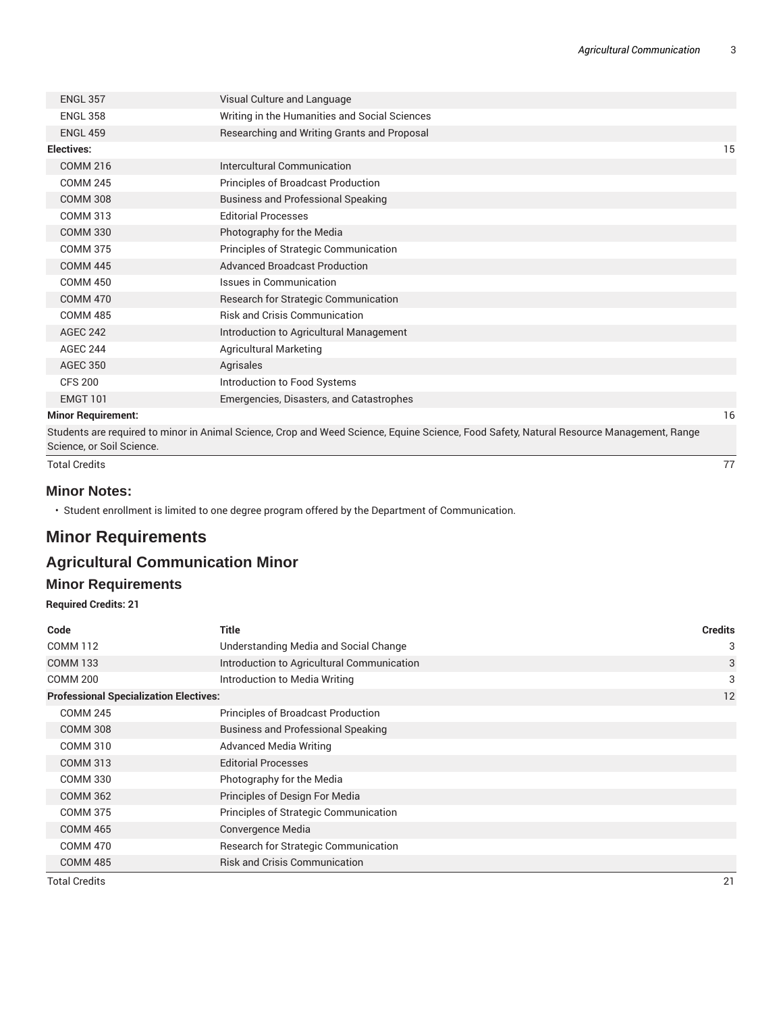| <b>ENGL 357</b>           | Visual Culture and Language                   |    |
|---------------------------|-----------------------------------------------|----|
| <b>ENGL 358</b>           | Writing in the Humanities and Social Sciences |    |
| <b>ENGL 459</b>           | Researching and Writing Grants and Proposal   |    |
| Electives:                |                                               | 15 |
| <b>COMM 216</b>           | Intercultural Communication                   |    |
| <b>COMM 245</b>           | Principles of Broadcast Production            |    |
| <b>COMM 308</b>           | <b>Business and Professional Speaking</b>     |    |
| <b>COMM 313</b>           | <b>Editorial Processes</b>                    |    |
| <b>COMM 330</b>           | Photography for the Media                     |    |
| <b>COMM 375</b>           | Principles of Strategic Communication         |    |
| <b>COMM 445</b>           | <b>Advanced Broadcast Production</b>          |    |
| <b>COMM 450</b>           | Issues in Communication                       |    |
| <b>COMM 470</b>           | Research for Strategic Communication          |    |
| <b>COMM 485</b>           | <b>Risk and Crisis Communication</b>          |    |
| <b>AGEC 242</b>           | Introduction to Agricultural Management       |    |
| <b>AGEC 244</b>           | <b>Agricultural Marketing</b>                 |    |
| <b>AGEC 350</b>           | Agrisales                                     |    |
| <b>CFS 200</b>            | Introduction to Food Systems                  |    |
| <b>EMGT 101</b>           | Emergencies, Disasters, and Catastrophes      |    |
| <b>Minor Requirement:</b> |                                               | 16 |

Students are required to minor in Animal Science, Crop and Weed Science, Equine Science, Food Safety, Natural Resource Management, Range Science, or Soil Science.

Total Credits 77

#### **Minor Notes:**

• Student enrollment is limited to one degree program offered by the Department of Communication.

# **Minor Requirements**

# **Agricultural Communication Minor**

#### **Minor Requirements**

**Required Credits: 21**

| Code                                          | <b>Title</b>                               | <b>Credits</b> |
|-----------------------------------------------|--------------------------------------------|----------------|
| <b>COMM 112</b>                               | Understanding Media and Social Change      | 3              |
| <b>COMM 133</b>                               | Introduction to Agricultural Communication | 3              |
| <b>COMM 200</b>                               | Introduction to Media Writing              | 3              |
| <b>Professional Specialization Electives:</b> |                                            | 12             |
| <b>COMM 245</b>                               | Principles of Broadcast Production         |                |
| <b>COMM 308</b>                               | <b>Business and Professional Speaking</b>  |                |
| <b>COMM 310</b>                               | <b>Advanced Media Writing</b>              |                |
| <b>COMM 313</b>                               | <b>Editorial Processes</b>                 |                |
| <b>COMM 330</b>                               | Photography for the Media                  |                |
| <b>COMM 362</b>                               | Principles of Design For Media             |                |
| <b>COMM 375</b>                               | Principles of Strategic Communication      |                |
| <b>COMM 465</b>                               | Convergence Media                          |                |
| <b>COMM 470</b>                               | Research for Strategic Communication       |                |
| <b>COMM 485</b>                               | <b>Risk and Crisis Communication</b>       |                |
| Total Credits                                 |                                            | 21             |